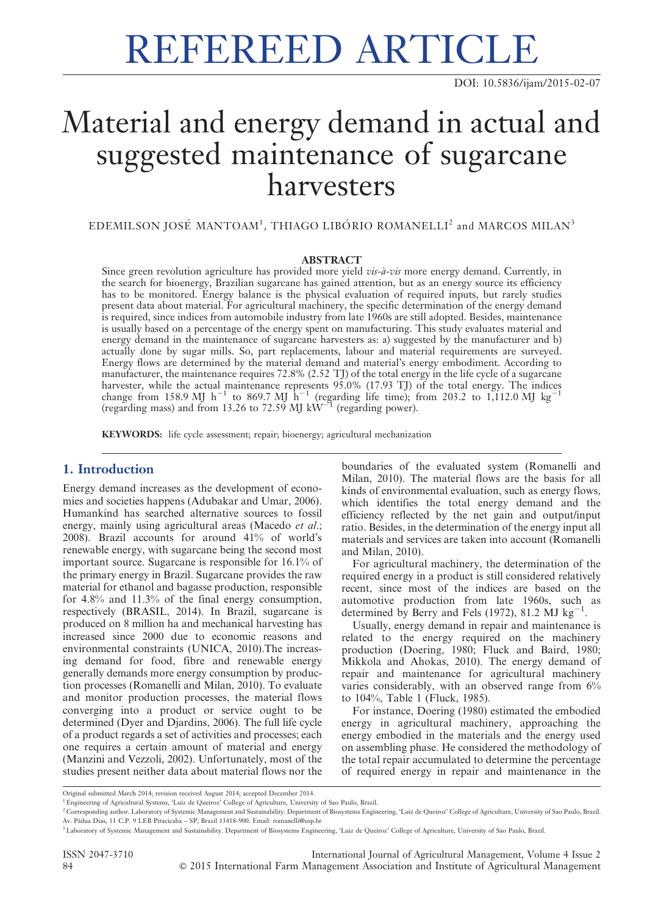# REFEREED ARTICLE

DOI: 10.5836/ijam/2015-02-07

# Material and energy demand in actual and suggested maintenance of sugarcane harvesters

EDEMILSON JOSÉ MANTOAM<sup>1</sup>, THIAGO LIBÓRIO ROMANELLI<sup>2</sup> and MARCOS MILAN<sup>3</sup>

#### ABSTRACT

Since green revolution agriculture has provided more yield  $vis-à -vis$  more energy demand. Currently, in the search for bioenergy, Brazilian sugarcane has gained attention, but as an energy source its efficiency has to be monitored. Energy balance is the physical evaluation of required inputs, but rarely studies present data about material. For agricultural machinery, the specific determination of the energy demand is required, since indices from automobile industry from late 1960s are still adopted. Besides, maintenance is usually based on a percentage of the energy spent on manufacturing. This study evaluates material and energy demand in the maintenance of sugarcane harvesters as: a) suggested by the manufacturer and b) actually done by sugar mills. So, part replacements, labour and material requirements are surveyed. Energy flows are determined by the material demand and material's energy embodiment. According to manufacturer, the maintenance requires 72.8% (2.52 TJ) of the total energy in the life cycle of a sugarcane harvester, while the actual maintenance represents 95.0% (17.93 TJ) of the total energy. The indices change from 158.9 MJ h<sup>-1</sup> to 869.7 MJ h<sup>-1</sup> (regarding life time); from 203.2 to 1,112.0 MJ kg<sup>-1</sup> (regarding mass) and from 13.26 to 72.59 MJ kW<sup>-1</sup> (regarding power).

KEYWORDS: life cycle assessment; repair; bioenergy; agricultural mechanization

# 1. Introduction

Energy demand increases as the development of economies and societies happens (Adubakar and Umar, 2006). Humankind has searched alternative sources to fossil energy, mainly using agricultural areas (Macedo et al.; 2008). Brazil accounts for around 41% of world's renewable energy, with sugarcane being the second most important source. Sugarcane is responsible for 16.1% of the primary energy in Brazil. Sugarcane provides the raw material for ethanol and bagasse production, responsible for 4.8% and 11.3% of the final energy consumption, respectively (BRASIL, 2014). In Brazil, sugarcane is produced on 8 million ha and mechanical harvesting has increased since 2000 due to economic reasons and environmental constraints (UNICA, 2010).The increasing demand for food, fibre and renewable energy generally demands more energy consumption by production processes (Romanelli and Milan, 2010). To evaluate and monitor production processes, the material flows converging into a product or service ought to be determined (Dyer and Djardins, 2006). The full life cycle of a product regards a set of activities and processes; each one requires a certain amount of material and energy (Manzini and Vezzoli, 2002). Unfortunately, most of the studies present neither data about material flows nor the

boundaries of the evaluated system (Romanelli and Milan, 2010). The material flows are the basis for all kinds of environmental evaluation, such as energy flows, which identifies the total energy demand and the efficiency reflected by the net gain and output/input ratio. Besides, in the determination of the energy input all materials and services are taken into account (Romanelli and Milan, 2010).

For agricultural machinery, the determination of the required energy in a product is still considered relatively recent, since most of the indices are based on the automotive production from late 1960s, such as determined by Berry and Fels (1972), 81.2  $\text{MJ}$  kg<sup>-1</sup>.

Usually, energy demand in repair and maintenance is related to the energy required on the machinery production (Doering, 1980; Fluck and Baird, 1980; Mikkola and Ahokas, 2010). The energy demand of repair and maintenance for agricultural machinery varies considerably, with an observed range from 6% to 104%, Table 1 (Fluck, 1985).

For instance, Doering (1980) estimated the embodied energy in agricultural machinery, approaching the energy embodied in the materials and the energy used on assembling phase. He considered the methodology of the total repair accumulated to determine the percentage of required energy in repair and maintenance in the

ISSN 2047-3710 International Journal of Agricultural Management, Volume 4 Issue 2 84 ' 2015 International Farm Management Association and Institute of Agricultural Management

Original submitted March 2014; revision received August 2014; accepted December 2014.

<sup>&</sup>lt;sup>1</sup> Engineering of Agricultural Systems, 'Luiz de Queiroz' College of Agriculture, University of Sao Paulo, Brazil.

<sup>&</sup>lt;sup>2</sup> Corresponding author. Laboratory of Systemic Management and Sustainability. Department of Biosystems Engineering, 'Luiz de Queiroz' College of Agriculture, University of Sao Paulo, Brazil. Av. Pa´dua Dias, 11 C.P. 9 LEB Piracicaba – SP, Brazil 13418-900. Email: romanelli@usp.br

<sup>&</sup>lt;sup>3</sup>Laboratory of Systemic Management and Sustainability. Department of Biosystems Engineering, 'Luiz de Oueiroz' College of Agriculture, University of Sao Paulo, Brazil.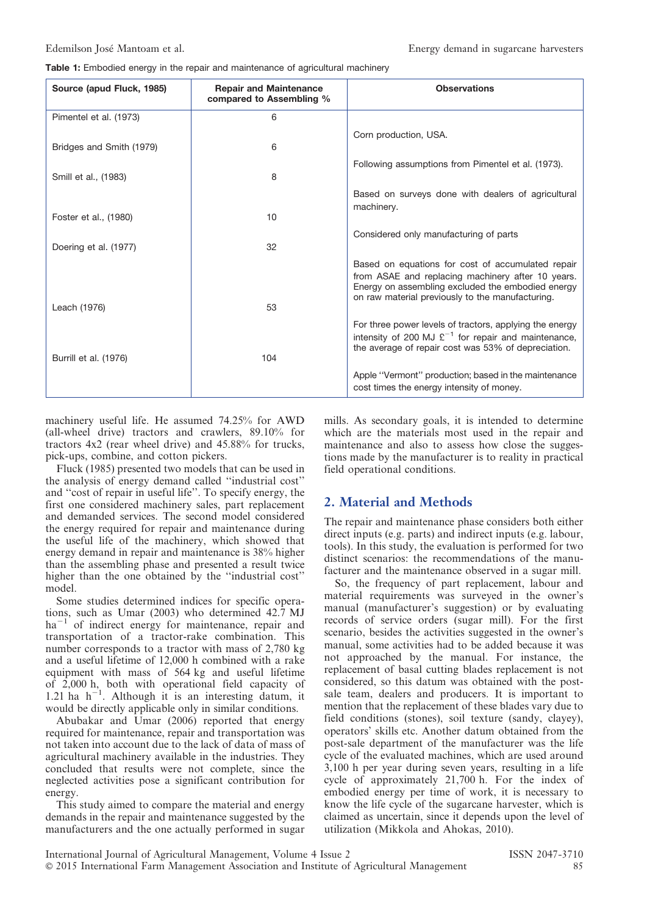Table 1: Embodied energy in the repair and maintenance of agricultural machinery

| Source (apud Fluck, 1985) | <b>Repair and Maintenance</b><br>compared to Assembling % | <b>Observations</b>                                                                                                                                                                                             |
|---------------------------|-----------------------------------------------------------|-----------------------------------------------------------------------------------------------------------------------------------------------------------------------------------------------------------------|
| Pimentel et al. (1973)    | 6                                                         |                                                                                                                                                                                                                 |
| Bridges and Smith (1979)  | 6                                                         | Corn production, USA.                                                                                                                                                                                           |
| Smill et al., (1983)      | 8                                                         | Following assumptions from Pimentel et al. (1973).                                                                                                                                                              |
| Foster et al., (1980)     | 10                                                        | Based on surveys done with dealers of agricultural<br>machinery.                                                                                                                                                |
| Doering et al. (1977)     | 32                                                        | Considered only manufacturing of parts                                                                                                                                                                          |
|                           |                                                           | Based on equations for cost of accumulated repair<br>from ASAE and replacing machinery after 10 years.<br>Energy on assembling excluded the embodied energy<br>on raw material previously to the manufacturing. |
| Leach (1976)              | 53                                                        |                                                                                                                                                                                                                 |
| Burrill et al. (1976)     | 104                                                       | For three power levels of tractors, applying the energy<br>intensity of 200 MJ $\mathfrak{L}^{-1}$ for repair and maintenance,<br>the average of repair cost was 53% of depreciation.                           |
|                           |                                                           | Apple "Vermont" production; based in the maintenance<br>cost times the energy intensity of money.                                                                                                               |

machinery useful life. He assumed 74.25% for AWD (all-wheel drive) tractors and crawlers, 89.10% for tractors 4x2 (rear wheel drive) and 45.88% for trucks, pick-ups, combine, and cotton pickers.

Fluck (1985) presented two models that can be used in the analysis of energy demand called ''industrial cost'' and ''cost of repair in useful life''. To specify energy, the first one considered machinery sales, part replacement and demanded services. The second model considered the energy required for repair and maintenance during the useful life of the machinery, which showed that energy demand in repair and maintenance is 38% higher than the assembling phase and presented a result twice higher than the one obtained by the ''industrial cost'' model.

Some studies determined indices for specific operations, such as Umar (2003) who determined 42.7 MJ  $ha^{-1}$  of indirect energy for maintenance, repair and transportation of a tractor-rake combination. This number corresponds to a tractor with mass of 2,780 kg and a useful lifetime of 12,000 h combined with a rake equipment with mass of 564 kg and useful lifetime of 2,000 h, both with operational field capacity of 1.21 ha  $h^{-1}$ . Although it is an interesting datum, it would be directly applicable only in similar conditions.

Abubakar and Umar (2006) reported that energy required for maintenance, repair and transportation was not taken into account due to the lack of data of mass of agricultural machinery available in the industries. They concluded that results were not complete, since the neglected activities pose a significant contribution for energy.

This study aimed to compare the material and energy demands in the repair and maintenance suggested by the manufacturers and the one actually performed in sugar mills. As secondary goals, it is intended to determine which are the materials most used in the repair and maintenance and also to assess how close the suggestions made by the manufacturer is to reality in practical field operational conditions.

# 2. Material and Methods

The repair and maintenance phase considers both either direct inputs (e.g. parts) and indirect inputs (e.g. labour, tools). In this study, the evaluation is performed for two distinct scenarios: the recommendations of the manufacturer and the maintenance observed in a sugar mill.

So, the frequency of part replacement, labour and material requirements was surveyed in the owner's manual (manufacturer's suggestion) or by evaluating records of service orders (sugar mill). For the first scenario, besides the activities suggested in the owner's manual, some activities had to be added because it was not approached by the manual. For instance, the replacement of basal cutting blades replacement is not considered, so this datum was obtained with the postsale team, dealers and producers. It is important to mention that the replacement of these blades vary due to field conditions (stones), soil texture (sandy, clayey), operators' skills etc. Another datum obtained from the post-sale department of the manufacturer was the life cycle of the evaluated machines, which are used around 3,100 h per year during seven years, resulting in a life cycle of approximately 21,700 h. For the index of embodied energy per time of work, it is necessary to know the life cycle of the sugarcane harvester, which is claimed as uncertain, since it depends upon the level of utilization (Mikkola and Ahokas, 2010).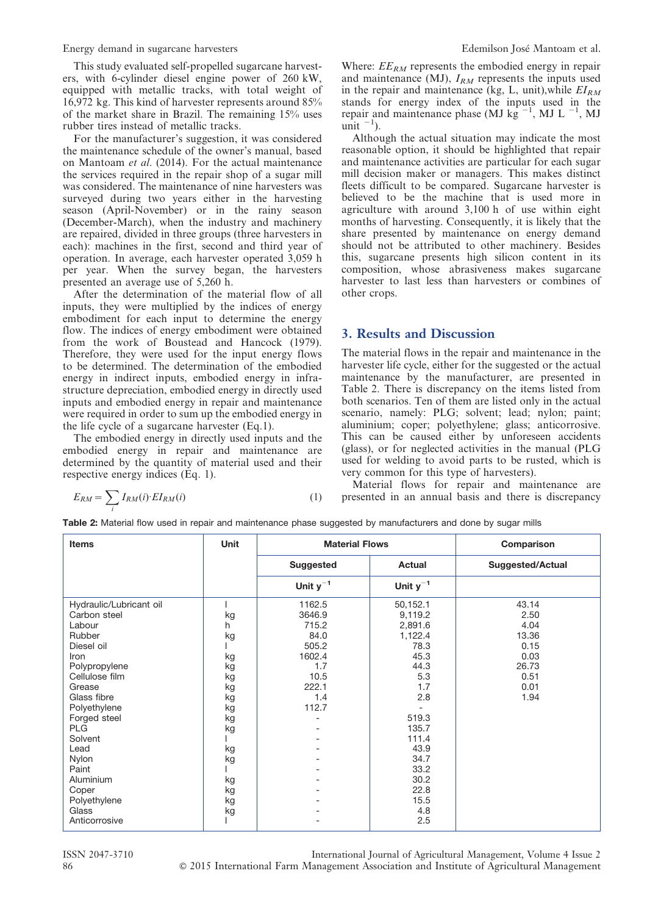Energy demand in sugarcane harvesters Edemilson Jose´ Mantoam et al.

This study evaluated self-propelled sugarcane harvesters, with 6-cylinder diesel engine power of 260 kW, equipped with metallic tracks, with total weight of 16,972 kg. This kind of harvester represents around 85% of the market share in Brazil. The remaining 15% uses rubber tires instead of metallic tracks.

For the manufacturer's suggestion, it was considered the maintenance schedule of the owner's manual, based on Mantoam et al. (2014). For the actual maintenance the services required in the repair shop of a sugar mill was considered. The maintenance of nine harvesters was surveyed during two years either in the harvesting season (April-November) or in the rainy season (December-March), when the industry and machinery are repaired, divided in three groups (three harvesters in each): machines in the first, second and third year of operation. In average, each harvester operated 3,059 h per year. When the survey began, the harvesters presented an average use of 5,260 h.

After the determination of the material flow of all inputs, they were multiplied by the indices of energy embodiment for each input to determine the energy flow. The indices of energy embodiment were obtained from the work of Boustead and Hancock (1979). Therefore, they were used for the input energy flows to be determined. The determination of the embodied energy in indirect inputs, embodied energy in infrastructure depreciation, embodied energy in directly used inputs and embodied energy in repair and maintenance were required in order to sum up the embodied energy in the life cycle of a sugarcane harvester (Eq.1).

The embodied energy in directly used inputs and the embodied energy in repair and maintenance are determined by the quantity of material used and their respective energy indices (Eq. 1).

$$
E_{RM} = \sum_{i} I_{RM}(i) \cdot EI_{RM}(i) \tag{1}
$$

Where:  $E E_{RM}$  represents the embodied energy in repair and maintenance (MJ),  $I_{RM}$  represents the inputs used in the repair and maintenance (kg, L, unit),while  $EI_{RM}$ stands for energy index of the inputs used in the repair and maintenance phase (MJ kg<sup>-1</sup>, MJ L<sup>-1</sup>, MJ unit  $^{-1}$ ).

Although the actual situation may indicate the most reasonable option, it should be highlighted that repair and maintenance activities are particular for each sugar mill decision maker or managers. This makes distinct fleets difficult to be compared. Sugarcane harvester is believed to be the machine that is used more in agriculture with around 3,100 h of use within eight months of harvesting. Consequently, it is likely that the share presented by maintenance on energy demand should not be attributed to other machinery. Besides this, sugarcane presents high silicon content in its composition, whose abrasiveness makes sugarcane harvester to last less than harvesters or combines of other crops.

#### 3. Results and Discussion

The material flows in the repair and maintenance in the harvester life cycle, either for the suggested or the actual maintenance by the manufacturer, are presented in Table 2. There is discrepancy on the items listed from both scenarios. Ten of them are listed only in the actual scenario, namely: PLG; solvent; lead; nylon; paint; aluminium; coper; polyethylene; glass; anticorrosive. This can be caused either by unforeseen accidents (glass), or for neglected activities in the manual (PLG used for welding to avoid parts to be rusted, which is very common for this type of harvesters).

Material flows for repair and maintenance are presented in an annual basis and there is discrepancy

|  |  |  |  |  | Table 2: Material flow used in repair and maintenance phase suggested by manufacturers and done by sugar mills |  |  |  |
|--|--|--|--|--|----------------------------------------------------------------------------------------------------------------|--|--|--|
|  |  |  |  |  |                                                                                                                |  |  |  |

| <b>Items</b>            | Unit | <b>Material Flows</b>             | Comparison    |                         |
|-------------------------|------|-----------------------------------|---------------|-------------------------|
|                         |      | <b>Actual</b><br><b>Suggested</b> |               | <b>Suggested/Actual</b> |
|                         |      | Unit $y^{-1}$                     | Unit $y^{-1}$ |                         |
| Hydraulic/Lubricant oil |      | 1162.5                            | 50,152.1      | 43.14                   |
| Carbon steel            | kg   | 3646.9                            | 9,119.2       | 2.50                    |
| Labour                  | h    | 715.2                             | 2,891.6       | 4.04                    |
| Rubber                  | kg   | 84.0                              | 1,122.4       | 13.36                   |
| Diesel oil              |      | 505.2                             | 78.3          | 0.15                    |
| Iron                    | kg   | 1602.4                            | 45.3          | 0.03                    |
| Polypropylene           | kg   | 1.7                               | 44.3          | 26.73                   |
| Cellulose film          | kg   | 10.5                              | 5.3           | 0.51                    |
| Grease                  | kg   | 222.1                             | 1.7           | 0.01                    |
| Glass fibre             | kg   | 1.4                               | 2.8           | 1.94                    |
| Polyethylene            | kg   | 112.7                             |               |                         |
| Forged steel            | kg   |                                   | 519.3         |                         |
| <b>PLG</b>              | kg   |                                   | 135.7         |                         |
| Solvent                 |      |                                   | 111.4         |                         |
| Lead                    | kg   |                                   | 43.9          |                         |
| Nylon                   | kg   |                                   | 34.7          |                         |
| Paint                   |      |                                   | 33.2          |                         |
| Aluminium               | kg   |                                   | 30.2          |                         |
| Coper                   | kg   |                                   | 22.8          |                         |
| Polyethylene            | kg   |                                   | 15.5          |                         |
| Glass                   | kg   |                                   | 4.8           |                         |
| Anticorrosive           |      |                                   | 2.5           |                         |

ISSN 2047-3710 International Journal of Agricultural Management, Volume 4 Issue 2 86 ' 2015 International Farm Management Association and Institute of Agricultural Management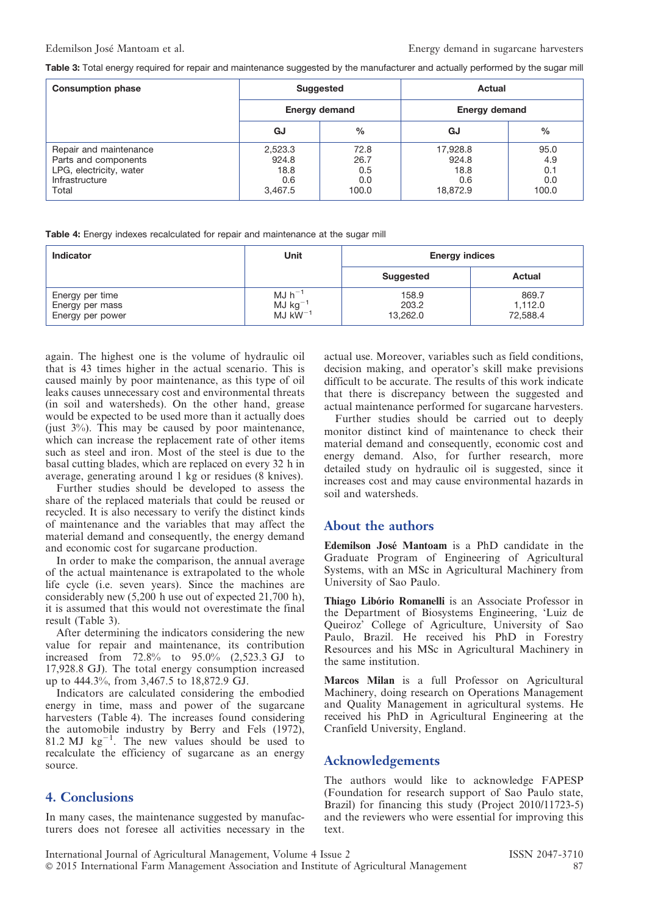Table 3: Total energy required for repair and maintenance suggested by the manufacturer and actually performed by the sugar mill

| <b>Consumption phase</b>                                                                             |                                            | <b>Suggested</b>                    | Actual                                       |                                    |  |  |
|------------------------------------------------------------------------------------------------------|--------------------------------------------|-------------------------------------|----------------------------------------------|------------------------------------|--|--|
|                                                                                                      |                                            | <b>Energy demand</b>                | <b>Energy demand</b>                         |                                    |  |  |
|                                                                                                      | GJ                                         | $\frac{0}{0}$                       | GJ                                           | $\%$                               |  |  |
| Repair and maintenance<br>Parts and components<br>LPG, electricity, water<br>Infrastructure<br>Total | 2,523.3<br>924.8<br>18.8<br>0.6<br>3,467.5 | 72.8<br>26.7<br>0.5<br>0.0<br>100.0 | 17,928.8<br>924.8<br>18.8<br>0.6<br>18.872.9 | 95.0<br>4.9<br>0.1<br>0.0<br>100.0 |  |  |

|  |  | <b>Table 4:</b> Energy indexes recalculated for repair and maintenance at the sugar mill |
|--|--|------------------------------------------------------------------------------------------|
|  |  |                                                                                          |

| <b>Indicator</b>                                       | Unit                                                             | <b>Energy indices</b>      |                              |  |
|--------------------------------------------------------|------------------------------------------------------------------|----------------------------|------------------------------|--|
|                                                        |                                                                  | <b>Suggested</b>           | <b>Actual</b>                |  |
| Energy per time<br>Energy per mass<br>Energy per power | $MJ$ h <sup>-1</sup><br>$MJ$ kg <sup>-1</sup><br>$MJ$ k $W^{-1}$ | 158.9<br>203.2<br>13,262.0 | 869.7<br>1,112.0<br>72,588.4 |  |

again. The highest one is the volume of hydraulic oil that is 43 times higher in the actual scenario. This is caused mainly by poor maintenance, as this type of oil leaks causes unnecessary cost and environmental threats (in soil and watersheds). On the other hand, grease would be expected to be used more than it actually does (just  $3\%$ ). This may be caused by poor maintenance, which can increase the replacement rate of other items such as steel and iron. Most of the steel is due to the basal cutting blades, which are replaced on every 32 h in average, generating around 1 kg or residues (8 knives).

Further studies should be developed to assess the share of the replaced materials that could be reused or recycled. It is also necessary to verify the distinct kinds of maintenance and the variables that may affect the material demand and consequently, the energy demand and economic cost for sugarcane production.

In order to make the comparison, the annual average of the actual maintenance is extrapolated to the whole life cycle (i.e. seven years). Since the machines are considerably new (5,200 h use out of expected 21,700 h), it is assumed that this would not overestimate the final result (Table 3).

After determining the indicators considering the new value for repair and maintenance, its contribution increased from 72.8% to 95.0% (2,523.3 GJ to 17,928.8 GJ). The total energy consumption increased up to 444.3%, from 3,467.5 to 18,872.9 GJ.

Indicators are calculated considering the embodied energy in time, mass and power of the sugarcane harvesters (Table 4). The increases found considering the automobile industry by Berry and Fels (1972), 81.2 MJ  $kg^{-1}$ . The new values should be used to recalculate the efficiency of sugarcane as an energy source.

## 4. Conclusions

In many cases, the maintenance suggested by manufacturers does not foresee all activities necessary in the actual use. Moreover, variables such as field conditions, decision making, and operator's skill make previsions difficult to be accurate. The results of this work indicate that there is discrepancy between the suggested and actual maintenance performed for sugarcane harvesters.

Further studies should be carried out to deeply monitor distinct kind of maintenance to check their material demand and consequently, economic cost and energy demand. Also, for further research, more detailed study on hydraulic oil is suggested, since it increases cost and may cause environmental hazards in soil and watersheds.

#### About the authors

Edemilson Jose´ Mantoam is a PhD candidate in the Graduate Program of Engineering of Agricultural Systems, with an MSc in Agricultural Machinery from University of Sao Paulo.

Thiago Libório Romanelli is an Associate Professor in the Department of Biosystems Engineering, 'Luiz de Queiroz' College of Agriculture, University of Sao Paulo, Brazil. He received his PhD in Forestry Resources and his MSc in Agricultural Machinery in the same institution.

Marcos Milan is a full Professor on Agricultural Machinery, doing research on Operations Management and Quality Management in agricultural systems. He received his PhD in Agricultural Engineering at the Cranfield University, England.

## Acknowledgements

The authors would like to acknowledge FAPESP (Foundation for research support of Sao Paulo state, Brazil) for financing this study (Project 2010/11723-5) and the reviewers who were essential for improving this text.